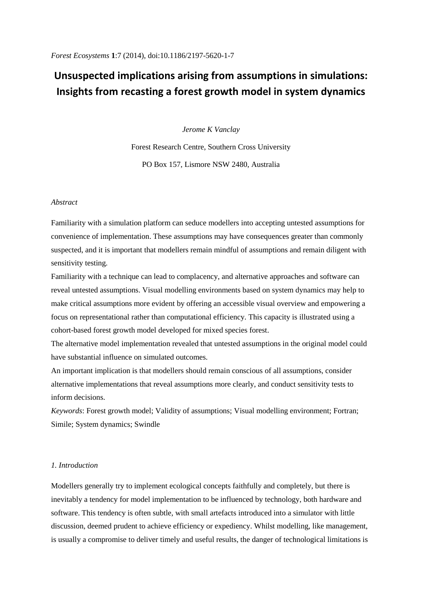# **Unsuspected implications arising from assumptions in simulations: Insights from recasting a forest growth model in system dynamics**

*Jerome K Vanclay*

Forest Research Centre, Southern Cross University PO Box 157, Lismore NSW 2480, Australia

# *Abstract*

Familiarity with a simulation platform can seduce modellers into accepting untested assumptions for convenience of implementation. These assumptions may have consequences greater than commonly suspected, and it is important that modellers remain mindful of assumptions and remain diligent with sensitivity testing.

Familiarity with a technique can lead to complacency, and alternative approaches and software can reveal untested assumptions. Visual modelling environments based on system dynamics may help to make critical assumptions more evident by offering an accessible visual overview and empowering a focus on representational rather than computational efficiency. This capacity is illustrated using a cohort-based forest growth model developed for mixed species forest.

The alternative model implementation revealed that untested assumptions in the original model could have substantial influence on simulated outcomes.

An important implication is that modellers should remain conscious of all assumptions, consider alternative implementations that reveal assumptions more clearly, and conduct sensitivity tests to inform decisions.

*Keywords*: Forest growth model; Validity of assumptions; Visual modelling environment; Fortran; Simile; System dynamics; Swindle

# *1. Introduction*

Modellers generally try to implement ecological concepts faithfully and completely, but there is inevitably a tendency for model implementation to be influenced by technology, both hardware and software. This tendency is often subtle, with small artefacts introduced into a simulator with little discussion, deemed prudent to achieve efficiency or expediency. Whilst modelling, like management, is usually a compromise to deliver timely and useful results, the danger of technological limitations is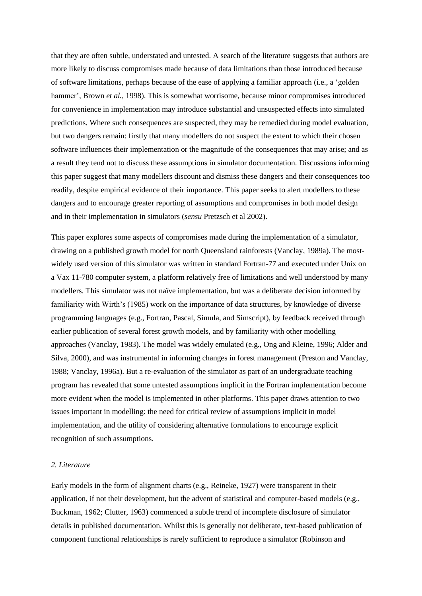that they are often subtle, understated and untested. A search of the literature suggests that authors are more likely to discuss compromises made because of data limitations than those introduced because of software limitations, perhaps because of the ease of applying a familiar approach (i.e., a 'golden hammer', Brown *et al.,* 1998). This is somewhat worrisome, because minor compromises introduced for convenience in implementation may introduce substantial and unsuspected effects into simulated predictions. Where such consequences are suspected, they may be remedied during model evaluation, but two dangers remain: firstly that many modellers do not suspect the extent to which their chosen software influences their implementation or the magnitude of the consequences that may arise; and as a result they tend not to discuss these assumptions in simulator documentation. Discussions informing this paper suggest that many modellers discount and dismiss these dangers and their consequences too readily, despite empirical evidence of their importance. This paper seeks to alert modellers to these dangers and to encourage greater reporting of assumptions and compromises in both model design and in their implementation in simulators (*sensu* Pretzsch et al 2002).

This paper explores some aspects of compromises made during the implementation of a simulator, drawing on a published growth model for north Queensland rainforests (Vanclay, 1989a). The mostwidely used version of this simulator was written in standard Fortran-77 and executed under Unix on a Vax 11-780 computer system, a platform relatively free of limitations and well understood by many modellers. This simulator was not naïve implementation, but was a deliberate decision informed by familiarity with Wirth's (1985) work on the importance of data structures, by knowledge of diverse programming languages (e.g., Fortran, Pascal, Simula, and Simscript), by feedback received through earlier publication of several forest growth models, and by familiarity with other modelling approaches (Vanclay, 1983). The model was widely emulated (e.g., Ong and Kleine, 1996; Alder and Silva, 2000), and was instrumental in informing changes in forest management (Preston and Vanclay, 1988; Vanclay, 1996a). But a re-evaluation of the simulator as part of an undergraduate teaching program has revealed that some untested assumptions implicit in the Fortran implementation become more evident when the model is implemented in other platforms. This paper draws attention to two issues important in modelling: the need for critical review of assumptions implicit in model implementation, and the utility of considering alternative formulations to encourage explicit recognition of such assumptions.

### *2. Literature*

Early models in the form of alignment charts (e.g., Reineke, 1927) were transparent in their application, if not their development, but the advent of statistical and computer-based models (e.g., Buckman, 1962; Clutter, 1963) commenced a subtle trend of incomplete disclosure of simulator details in published documentation. Whilst this is generally not deliberate, text-based publication of component functional relationships is rarely sufficient to reproduce a simulator (Robinson and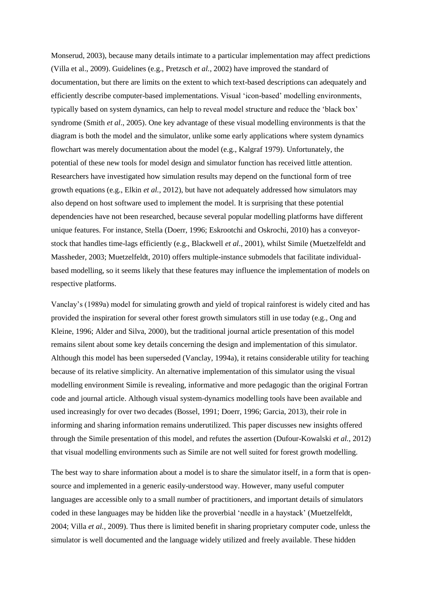Monserud, 2003), because many details intimate to a particular implementation may affect predictions (Villa et al., 2009). Guidelines (e.g., Pretzsch *et al.,* 2002) have improved the standard of documentation, but there are limits on the extent to which text-based descriptions can adequately and efficiently describe computer-based implementations. Visual 'icon-based' modelling environments, typically based on system dynamics, can help to reveal model structure and reduce the 'black box' syndrome (Smith *et al*., 2005). One key advantage of these visual modelling environments is that the diagram is both the model and the simulator, unlike some early applications where system dynamics flowchart was merely documentation about the model (e.g., Kalgraf 1979). Unfortunately, the potential of these new tools for model design and simulator function has received little attention. Researchers have investigated how simulation results may depend on the functional form of tree growth equations (e.g., Elkin *et al.*, 2012), but have not adequately addressed how simulators may also depend on host software used to implement the model. It is surprising that these potential dependencies have not been researched, because several popular modelling platforms have different unique features. For instance, Stella (Doerr, 1996; Eskrootchi and Oskrochi, 2010) has a conveyorstock that handles time-lags efficiently (e.g., Blackwell *et al*., 2001), whilst Simile (Muetzelfeldt and Massheder, 2003; Muetzelfeldt, 2010) offers multiple-instance submodels that facilitate individualbased modelling, so it seems likely that these features may influence the implementation of models on respective platforms.

Vanclay's (1989a) model for simulating growth and yield of tropical rainforest is widely cited and has provided the inspiration for several other forest growth simulators still in use today (e.g., Ong and Kleine, 1996; Alder and Silva, 2000), but the traditional journal article presentation of this model remains silent about some key details concerning the design and implementation of this simulator. Although this model has been superseded (Vanclay, 1994a), it retains considerable utility for teaching because of its relative simplicity. An alternative implementation of this simulator using the visual modelling environment Simile is revealing, informative and more pedagogic than the original Fortran code and journal article. Although visual system-dynamics modelling tools have been available and used increasingly for over two decades (Bossel, 1991; Doerr, 1996; Garcia, 2013), their role in informing and sharing information remains underutilized. This paper discusses new insights offered through the Simile presentation of this model, and refutes the assertion (Dufour-Kowalski *et al.,* 2012) that visual modelling environments such as Simile are not well suited for forest growth modelling.

The best way to share information about a model is to share the simulator itself, in a form that is opensource and implemented in a generic easily-understood way. However, many useful computer languages are accessible only to a small number of practitioners, and important details of simulators coded in these languages may be hidden like the proverbial 'needle in a haystack' (Muetzelfeldt, 2004; Villa *et al.,* 2009). Thus there is limited benefit in sharing proprietary computer code, unless the simulator is well documented and the language widely utilized and freely available. These hidden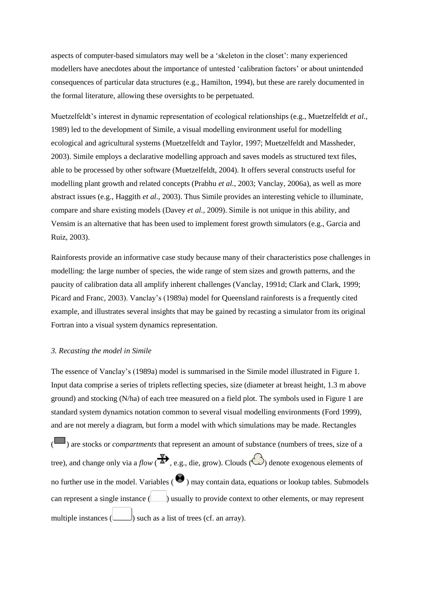aspects of computer-based simulators may well be a 'skeleton in the closet': many experienced modellers have anecdotes about the importance of untested 'calibration factors' or about unintended consequences of particular data structures (e.g., Hamilton, 1994), but these are rarely documented in the formal literature, allowing these oversights to be perpetuated.

Muetzelfeldt's interest in dynamic representation of ecological relationships (e.g., Muetzelfeldt *et al.,* 1989) led to the development of Simile, a visual modelling environment useful for modelling ecological and agricultural systems (Muetzelfeldt and Taylor, 1997; Muetzelfeldt and Massheder, 2003). Simile employs a declarative modelling approach and saves models as structured text files, able to be processed by other software (Muetzelfeldt, 2004). It offers several constructs useful for modelling plant growth and related concepts (Prabhu *et al.,* 2003; Vanclay, 2006a), as well as more abstract issues (e.g., Haggith *et al.,* 2003). Thus Simile provides an interesting vehicle to illuminate, compare and share existing models (Davey *et al.,* 2009). Simile is not unique in this ability, and Vensim is an alternative that has been used to implement forest growth simulators (e.g., Garcia and Ruiz, 2003).

Rainforests provide an informative case study because many of their characteristics pose challenges in modelling: the large number of species, the wide range of stem sizes and growth patterns, and the paucity of calibration data all amplify inherent challenges (Vanclay, 1991d; Clark and Clark, 1999; Picard and Franc, 2003). Vanclay's (1989a) model for Queensland rainforests is a frequently cited example, and illustrates several insights that may be gained by recasting a simulator from its original Fortran into a visual system dynamics representation.

#### *3. Recasting the model in Simile*

The essence of Vanclay's (1989a) model is summarised in the Simile model illustrated in Figure 1. Input data comprise a series of triplets reflecting species, size (diameter at breast height, 1.3 m above ground) and stocking (N/ha) of each tree measured on a field plot. The symbols used in Figure 1 are standard system dynamics notation common to several visual modelling environments (Ford 1999), and are not merely a diagram, but form a model with which simulations may be made. Rectangles

( $\Box$ ) are stocks or *compartments* that represent an amount of substance (numbers of trees, size of a tree), and change only via a *flow* ( $\overline{\mathbb{R}}$ , e.g., die, grow). Clouds ( $\bigodot$ ) denote exogenous elements of no further use in the model. Variables  $\Theta$  may contain data, equations or lookup tables. Submodels can represent a single instance  $(\Box)$  usually to provide context to other elements, or may represent multiple instances  $\left( \bigcup_{n=1}^{\infty} \mathcal{L}(s)$  such as a list of trees (cf. an array).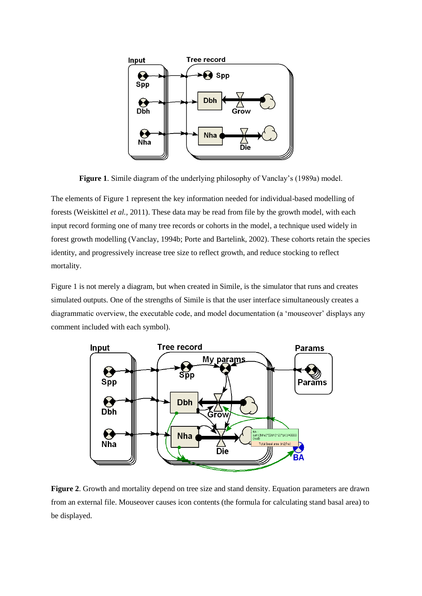

**Figure 1**. Simile diagram of the underlying philosophy of Vanclay's (1989a) model.

The elements of Figure 1 represent the key information needed for individual-based modelling of forests (Weiskittel *et al.,* 2011). These data may be read from file by the growth model, with each input record forming one of many tree records or cohorts in the model, a technique used widely in forest growth modelling (Vanclay, 1994b; Porte and Bartelink, 2002). These cohorts retain the species identity, and progressively increase tree size to reflect growth, and reduce stocking to reflect mortality.

Figure 1 is not merely a diagram, but when created in Simile, is the simulator that runs and creates simulated outputs. One of the strengths of Simile is that the user interface simultaneously creates a diagrammatic overview, the executable code, and model documentation (a 'mouseover' displays any comment included with each symbol).



**Figure 2**. Growth and mortality depend on tree size and stand density. Equation parameters are drawn from an external file. Mouseover causes icon contents (the formula for calculating stand basal area) to be displayed.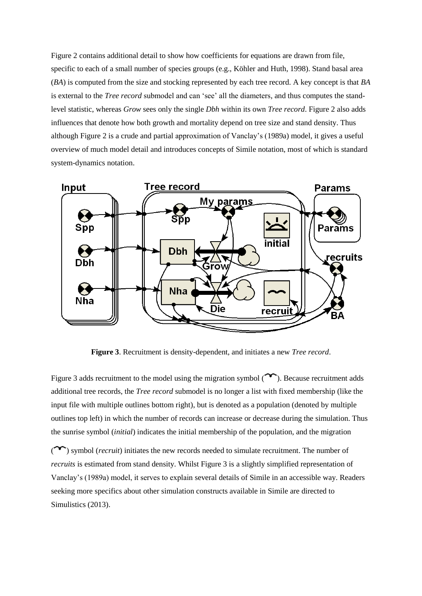Figure 2 contains additional detail to show how coefficients for equations are drawn from file, specific to each of a small number of species groups (e.g., Köhler and Huth, 1998). Stand basal area (*BA*) is computed from the size and stocking represented by each tree record. A key concept is that *BA* is external to the *Tree record* submodel and can 'see' all the diameters, and thus computes the standlevel statistic, whereas *Grow* sees only the single *Dbh* within its own *Tree record*. Figure 2 also adds influences that denote how both growth and mortality depend on tree size and stand density. Thus although Figure 2 is a crude and partial approximation of Vanclay's (1989a) model, it gives a useful overview of much model detail and introduces concepts of Simile notation, most of which is standard system-dynamics notation.



**Figure 3**. Recruitment is density-dependent, and initiates a new *Tree record*.

Figure 3 adds recruitment to the model using the migration symbol  $(\sim)$ . Because recruitment adds additional tree records, the *Tree record* submodel is no longer a list with fixed membership (like the input file with multiple outlines bottom right), but is denoted as a population (denoted by multiple outlines top left) in which the number of records can increase or decrease during the simulation. Thus the sunrise symbol (*initial*) indicates the initial membership of the population, and the migration

( $\sim$ ) symbol (*recruit*) initiates the new records needed to simulate recruitment. The number of *recruits* is estimated from stand density. Whilst Figure 3 is a slightly simplified representation of Vanclay's (1989a) model, it serves to explain several details of Simile in an accessible way. Readers seeking more specifics about other simulation constructs available in Simile are directed to Simulistics (2013).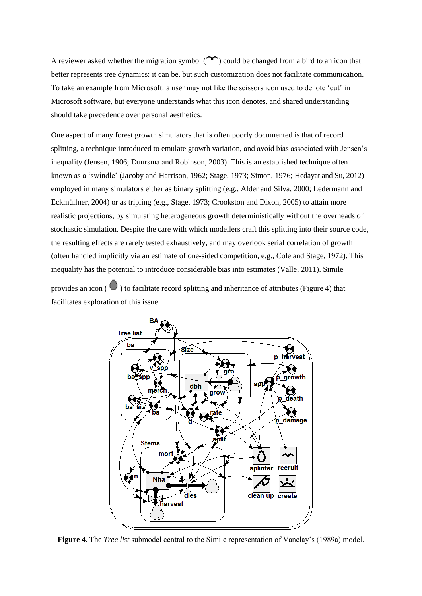A reviewer asked whether the migration symbol  $(\sim)$  could be changed from a bird to an icon that better represents tree dynamics: it can be, but such customization does not facilitate communication. To take an example from Microsoft: a user may not like the scissors icon used to denote 'cut' in Microsoft software, but everyone understands what this icon denotes, and shared understanding should take precedence over personal aesthetics.

One aspect of many forest growth simulators that is often poorly documented is that of record splitting, a technique introduced to emulate growth variation, and avoid bias associated with Jensen's inequality (Jensen, 1906; Duursma and Robinson, 2003). This is an established technique often known as a 'swindle' (Jacoby and Harrison, 1962; Stage, 1973; Simon, 1976; Hedayat and Su, 2012) employed in many simulators either as binary splitting (e.g., Alder and Silva, 2000; Ledermann and Eckmüllner, 2004) or as tripling (e.g., Stage, 1973; Crookston and Dixon, 2005) to attain more realistic projections, by simulating heterogeneous growth deterministically without the overheads of stochastic simulation. Despite the care with which modellers craft this splitting into their source code, the resulting effects are rarely tested exhaustively, and may overlook serial correlation of growth (often handled implicitly via an estimate of one-sided competition, e.g., Cole and Stage, 1972). This inequality has the potential to introduce considerable bias into estimates (Valle, 2011). Simile

provides an icon  $\left( \bigcup \right)$  to facilitate record splitting and inheritance of attributes (Figure 4) that facilitates exploration of this issue.



**Figure 4**. The *Tree list* submodel central to the Simile representation of Vanclay's (1989a) model.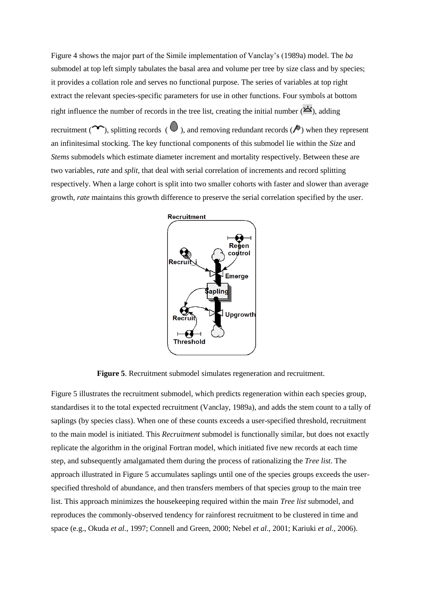Figure 4 shows the major part of the Simile implementation of Vanclay's (1989a) model. The *ba* submodel at top left simply tabulates the basal area and volume per tree by size class and by species; it provides a collation role and serves no functional purpose. The series of variables at top right extract the relevant species-specific parameters for use in other functions. Four symbols at bottom right influence the number of records in the tree list, creating the initial number  $(\triangle')$ , adding recruitment ( $\sim$ ), splitting records ( $\bullet$ ), and removing redundant records ( $\bullet$ ) when they represent an infinitesimal stocking. The key functional components of this submodel lie within the *Size* and *Stems* submodels which estimate diameter increment and mortality respectively. Between these are two variables, *rate* and *split*, that deal with serial correlation of increments and record splitting respectively. When a large cohort is split into two smaller cohorts with faster and slower than average growth, *rate* maintains this growth difference to preserve the serial correlation specified by the user.



**Figure 5**. Recruitment submodel simulates regeneration and recruitment.

Figure 5 illustrates the recruitment submodel, which predicts regeneration within each species group, standardises it to the total expected recruitment (Vanclay, 1989a), and adds the stem count to a tally of saplings (by species class). When one of these counts exceeds a user-specified threshold, recruitment to the main model is initiated. This *Recruitment* submodel is functionally similar, but does not exactly replicate the algorithm in the original Fortran model, which initiated five new records at each time step, and subsequently amalgamated them during the process of rationalizing the *Tree list*. The approach illustrated in Figure 5 accumulates saplings until one of the species groups exceeds the userspecified threshold of abundance, and then transfers members of that species group to the main tree list. This approach minimizes the housekeeping required within the main *Tree list* submodel, and reproduces the commonly-observed tendency for rainforest recruitment to be clustered in time and space (e.g., Okuda *et al.,* 1997; Connell and Green, 2000; Nebel *et al.,* 2001; Kariuki *et al.,* 2006).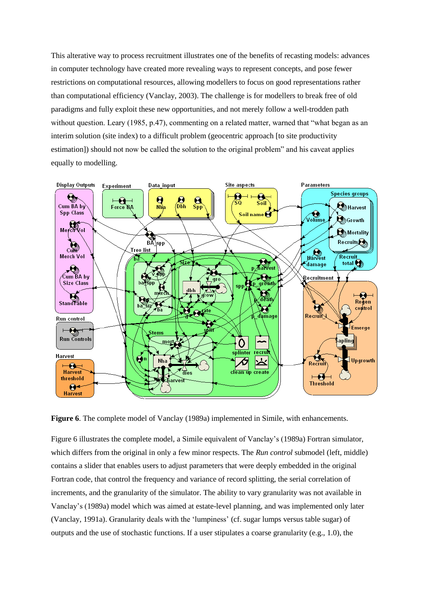This alterative way to process recruitment illustrates one of the benefits of recasting models: advances in computer technology have created more revealing ways to represent concepts, and pose fewer restrictions on computational resources, allowing modellers to focus on good representations rather than computational efficiency (Vanclay, 2003). The challenge is for modellers to break free of old paradigms and fully exploit these new opportunities, and not merely follow a well-trodden path without question. Leary (1985, p.47), commenting on a related matter, warned that "what began as an interim solution (site index) to a difficult problem (geocentric approach [to site productivity estimation]) should not now be called the solution to the original problem" and his caveat applies equally to modelling.



**Figure 6**. The complete model of Vanclay (1989a) implemented in Simile, with enhancements.

Figure 6 illustrates the complete model, a Simile equivalent of Vanclay's (1989a) Fortran simulator, which differs from the original in only a few minor respects. The *Run control* submodel (left, middle) contains a slider that enables users to adjust parameters that were deeply embedded in the original Fortran code, that control the frequency and variance of record splitting, the serial correlation of increments, and the granularity of the simulator. The ability to vary granularity was not available in Vanclay's (1989a) model which was aimed at estate-level planning, and was implemented only later (Vanclay, 1991a). Granularity deals with the 'lumpiness' (cf. sugar lumps versus table sugar) of outputs and the use of stochastic functions. If a user stipulates a coarse granularity (e.g., 1.0), the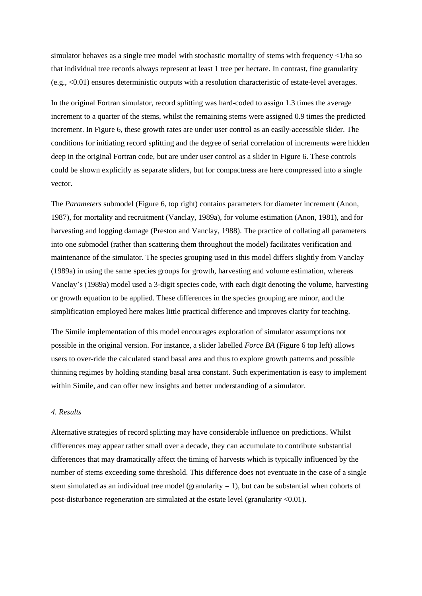simulator behaves as a single tree model with stochastic mortality of stems with frequency  $\langle 1/\rangle$  as of that individual tree records always represent at least 1 tree per hectare. In contrast, fine granularity (e.g., <0.01) ensures deterministic outputs with a resolution characteristic of estate-level averages.

In the original Fortran simulator, record splitting was hard-coded to assign 1.3 times the average increment to a quarter of the stems, whilst the remaining stems were assigned 0.9 times the predicted increment. In Figure 6, these growth rates are under user control as an easily-accessible slider. The conditions for initiating record splitting and the degree of serial correlation of increments were hidden deep in the original Fortran code, but are under user control as a slider in Figure 6. These controls could be shown explicitly as separate sliders, but for compactness are here compressed into a single vector.

The *Parameters* submodel (Figure 6, top right) contains parameters for diameter increment (Anon, 1987), for mortality and recruitment (Vanclay, 1989a), for volume estimation (Anon, 1981), and for harvesting and logging damage (Preston and Vanclay, 1988). The practice of collating all parameters into one submodel (rather than scattering them throughout the model) facilitates verification and maintenance of the simulator. The species grouping used in this model differs slightly from Vanclay (1989a) in using the same species groups for growth, harvesting and volume estimation, whereas Vanclay's (1989a) model used a 3-digit species code, with each digit denoting the volume, harvesting or growth equation to be applied. These differences in the species grouping are minor, and the simplification employed here makes little practical difference and improves clarity for teaching.

The Simile implementation of this model encourages exploration of simulator assumptions not possible in the original version. For instance, a slider labelled *Force BA* (Figure 6 top left) allows users to over-ride the calculated stand basal area and thus to explore growth patterns and possible thinning regimes by holding standing basal area constant. Such experimentation is easy to implement within Simile, and can offer new insights and better understanding of a simulator.

## *4. Results*

Alternative strategies of record splitting may have considerable influence on predictions. Whilst differences may appear rather small over a decade, they can accumulate to contribute substantial differences that may dramatically affect the timing of harvests which is typically influenced by the number of stems exceeding some threshold. This difference does not eventuate in the case of a single stem simulated as an individual tree model (granularity  $= 1$ ), but can be substantial when cohorts of post-disturbance regeneration are simulated at the estate level (granularity <0.01).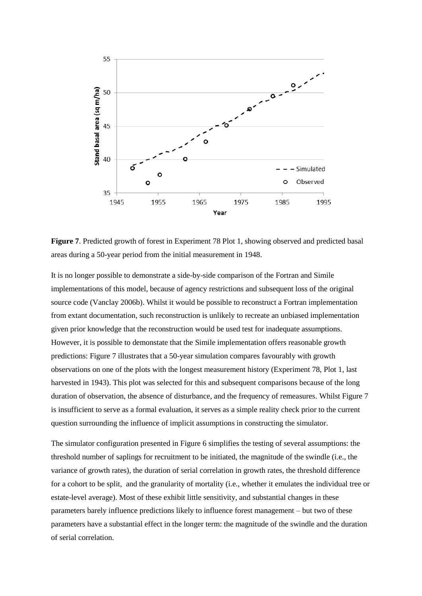

**Figure 7**. Predicted growth of forest in Experiment 78 Plot 1, showing observed and predicted basal areas during a 50-year period from the initial measurement in 1948.

It is no longer possible to demonstrate a side-by-side comparison of the Fortran and Simile implementations of this model, because of agency restrictions and subsequent loss of the original source code (Vanclay 2006b). Whilst it would be possible to reconstruct a Fortran implementation from extant documentation, such reconstruction is unlikely to recreate an unbiased implementation given prior knowledge that the reconstruction would be used test for inadequate assumptions. However, it is possible to demonstate that the Simile implementation offers reasonable growth predictions: Figure 7 illustrates that a 50-year simulation compares favourably with growth observations on one of the plots with the longest measurement history (Experiment 78, Plot 1, last harvested in 1943). This plot was selected for this and subsequent comparisons because of the long duration of observation, the absence of disturbance, and the frequency of remeasures. Whilst Figure 7 is insufficient to serve as a formal evaluation, it serves as a simple reality check prior to the current question surrounding the influence of implicit assumptions in constructing the simulator.

The simulator configuration presented in Figure 6 simplifies the testing of several assumptions: the threshold number of saplings for recruitment to be initiated, the magnitude of the swindle (i.e., the variance of growth rates), the duration of serial correlation in growth rates, the threshold difference for a cohort to be split, and the granularity of mortality (i.e., whether it emulates the individual tree or estate-level average). Most of these exhibit little sensitivity, and substantial changes in these parameters barely influence predictions likely to influence forest management – but two of these parameters have a substantial effect in the longer term: the magnitude of the swindle and the duration of serial correlation.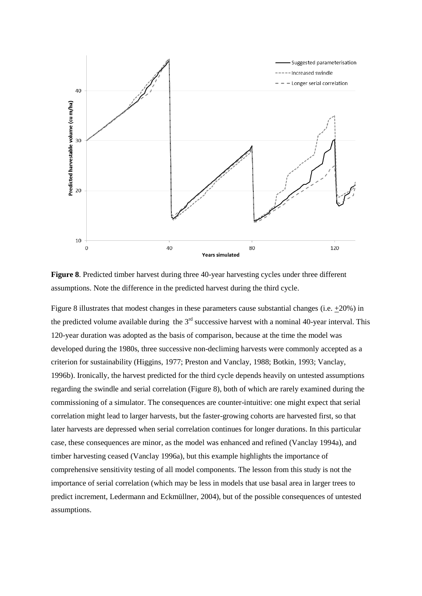

**Figure 8**. Predicted timber harvest during three 40-year harvesting cycles under three different assumptions. Note the difference in the predicted harvest during the third cycle.

Figure 8 illustrates that modest changes in these parameters cause substantial changes (i.e. +20%) in the predicted volume available during the  $3<sup>rd</sup>$  successive harvest with a nominal 40-year interval. This 120-year duration was adopted as the basis of comparison, because at the time the model was developed during the 1980s, three successive non-decliming harvests were commonly accepted as a criterion for sustainability (Higgins, 1977; Preston and Vanclay, 1988; Botkin, 1993; Vanclay, 1996b). Ironically, the harvest predicted for the third cycle depends heavily on untested assumptions regarding the swindle and serial correlation (Figure 8), both of which are rarely examined during the commissioning of a simulator. The consequences are counter-intuitive: one might expect that serial correlation might lead to larger harvests, but the faster-growing cohorts are harvested first, so that later harvests are depressed when serial correlation continues for longer durations. In this particular case, these consequences are minor, as the model was enhanced and refined (Vanclay 1994a), and timber harvesting ceased (Vanclay 1996a), but this example highlights the importance of comprehensive sensitivity testing of all model components. The lesson from this study is not the importance of serial correlation (which may be less in models that use basal area in larger trees to predict increment, Ledermann and Eckmüllner, 2004), but of the possible consequences of untested assumptions.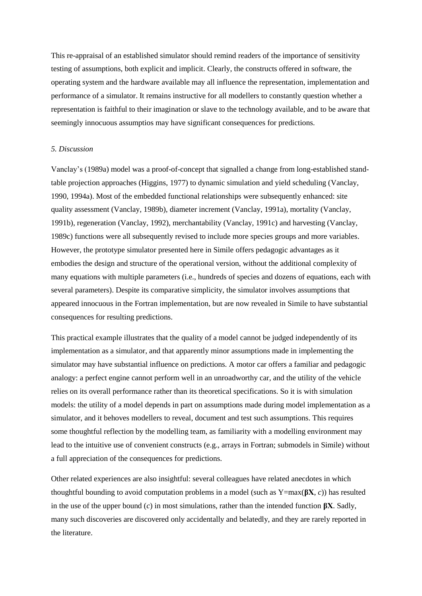This re-appraisal of an established simulator should remind readers of the importance of sensitivity testing of assumptions, both explicit and implicit. Clearly, the constructs offered in software, the operating system and the hardware available may all influence the representation, implementation and performance of a simulator. It remains instructive for all modellers to constantly question whether a representation is faithful to their imagination or slave to the technology available, and to be aware that seemingly innocuous assumptios may have significant consequences for predictions.

## *5. Discussion*

Vanclay's (1989a) model was a proof-of-concept that signalled a change from long-established standtable projection approaches (Higgins, 1977) to dynamic simulation and yield scheduling (Vanclay, 1990, 1994a). Most of the embedded functional relationships were subsequently enhanced: site quality assessment (Vanclay, 1989b), diameter increment (Vanclay, 1991a), mortality (Vanclay, 1991b), regeneration (Vanclay, 1992), merchantability (Vanclay, 1991c) and harvesting (Vanclay, 1989c) functions were all subsequently revised to include more species groups and more variables. However, the prototype simulator presented here in Simile offers pedagogic advantages as it embodies the design and structure of the operational version, without the additional complexity of many equations with multiple parameters (i.e., hundreds of species and dozens of equations, each with several parameters). Despite its comparative simplicity, the simulator involves assumptions that appeared innocuous in the Fortran implementation, but are now revealed in Simile to have substantial consequences for resulting predictions.

This practical example illustrates that the quality of a model cannot be judged independently of its implementation as a simulator, and that apparently minor assumptions made in implementing the simulator may have substantial influence on predictions. A motor car offers a familiar and pedagogic analogy: a perfect engine cannot perform well in an unroadworthy car, and the utility of the vehicle relies on its overall performance rather than its theoretical specifications. So it is with simulation models: the utility of a model depends in part on assumptions made during model implementation as a simulator, and it behoves modellers to reveal, document and test such assumptions. This requires some thoughtful reflection by the modelling team, as familiarity with a modelling environment may lead to the intuitive use of convenient constructs (e.g., arrays in Fortran; submodels in Simile) without a full appreciation of the consequences for predictions.

Other related experiences are also insightful: several colleagues have related anecdotes in which thoughtful bounding to avoid computation problems in a model (such as Y=max(**βX**, *c*)) has resulted in the use of the upper bound  $(c)$  in most simulations, rather than the intended function  $\beta X$ . Sadly, many such discoveries are discovered only accidentally and belatedly, and they are rarely reported in the literature.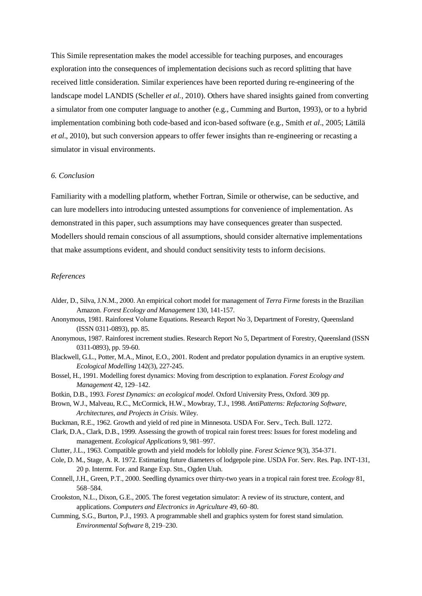This Simile representation makes the model accessible for teaching purposes, and encourages exploration into the consequences of implementation decisions such as record splitting that have received little consideration. Similar experiences have been reported during re-engineering of the landscape model LANDIS (Scheller *et al.,* 2010). Others have shared insights gained from converting a simulator from one computer language to another (e.g., Cumming and Burton, 1993), or to a hybrid implementation combining both code-based and icon-based software (e.g., Smith *et al*., 2005; Lättilä *et al*., 2010), but such conversion appears to offer fewer insights than re-engineering or recasting a simulator in visual environments.

# *6. Conclusion*

Familiarity with a modelling platform, whether Fortran, Simile or otherwise, can be seductive, and can lure modellers into introducing untested assumptions for convenience of implementation. As demonstrated in this paper, such assumptions may have consequences greater than suspected. Modellers should remain conscious of all assumptions, should consider alternative implementations that make assumptions evident, and should conduct sensitivity tests to inform decisions.

## *References*

- Alder, D., Silva, J.N.M., 2000. An empirical cohort model for management of *Terra Firme* forests in the Brazilian Amazon. *Forest Ecology and Management* 130, 141-157.
- Anonymous, 1981. Rainforest Volume Equations. Research Report No 3, Department of Forestry, Queensland (ISSN 0311-0893), pp. 85.
- Anonymous, 1987. Rainforest increment studies. Research Report No 5, Department of Forestry, Queensland (ISSN 0311-0893), pp. 59-60.
- Blackwell, G.L., Potter, M.A., Minot, E.O., 2001. Rodent and predator population dynamics in an eruptive system. *Ecological Modelling* 142(3), 227-245.
- Bossel, H., 1991. Modelling forest dynamics: Moving from description to explanation. *Forest Ecology and Management* 42, 129–142.
- Botkin, D.B., 1993. *Forest Dynamics: an ecological model*. Oxford University Press, Oxford. 309 pp.
- Brown, W.J., Malveau, R.C., McCormick, H.W., Mowbray, T.J., 1998. *AntiPatterns: Refactoring Software, Architectures, and Projects in Crisis*. Wiley.
- Buckman, R.E., 1962. Growth and yield of red pine in Minnesota. USDA For. Serv., Tech. Bull. 1272.
- Clark, D.A., Clark, D.B., 1999. Assessing the growth of tropical rain forest trees: Issues for forest modeling and management. *Ecological Applications* 9, 981–997.
- Clutter, J.L., 1963. Compatible growth and yield models for loblolly pine. *Forest Science* 9(3), 354-371.
- Cole, D. M., Stage, A. R. 1972. Estimating future diameters of lodgepole pine. USDA For. Serv. Res. Pap. INT-131, 20 p. Intermt. For. and Range Exp. Stn., Ogden Utah.
- Connell, J.H., Green, P.T., 2000. Seedling dynamics over thirty-two years in a tropical rain forest tree. *Ecology* 81, 568–584.
- Crookston, N.L., Dixon, G.E., 2005. The forest vegetation simulator: A review of its structure, content, and applications. *Computers and Electronics in Agriculture* 49, 60–80.
- Cumming, S.G., Burton, P.J., 1993. A programmable shell and graphics system for forest stand simulation. *Environmental Software* 8, 219–230.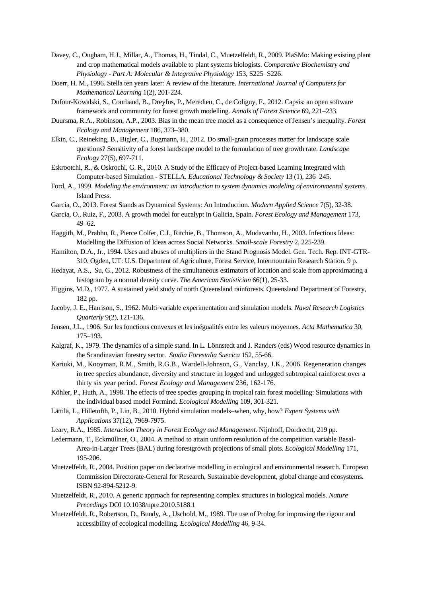- Davey, C., Ougham, H.J., Millar, A., Thomas, H., Tindal, C., Muetzelfeldt, R., 2009. PlaSMo: Making existing plant and crop mathematical models available to plant systems biologists. *Comparative Biochemistry and Physiology - Part A: Molecular & Integrative Physiology* 153, S225–S226.
- Doerr, H. M., 1996. Stella ten years later: A review of the literature. *International Journal of Computers for Mathematical Learning* 1(2), 201-224.
- Dufour-Kowalski, S., Courbaud, B., Dreyfus, P., Meredieu, C., de Coligny, F., 2012. Capsis: an open software framework and community for forest growth modelling. *Annals of Forest Science* 69, 221–233.
- Duursma, R.A., Robinson, A.P., 2003. Bias in the mean tree model as a consequence of Jensen's inequality. *Forest Ecology and Management* 186, 373–380.
- Elkin, C., Reineking, B., Bigler, C., Bugmann, H., 2012. Do small-grain processes matter for landscape scale questions? Sensitivity of a forest landscape model to the formulation of tree growth rate. *Landscape Ecology* 27(5), 697-711.
- Eskrootchi, R., & Oskrochi, G. R., 2010. A Study of the Efficacy of Project-based Learning Integrated with Computer-based Simulation - STELLA. *Educational Technology & Society* 13 (1), 236–245.
- Ford, A., 1999. *Modeling the environment: an introduction to system dynamics modeling of environmental systems*. Island Press.
- Garcia, O., 2013. Forest Stands as Dynamical Systems: An Introduction. *Modern Applied Science* 7(5), 32-38.
- Garcia, O., Ruiz, F., 2003. A growth model for eucalypt in Galicia, Spain. *Forest Ecology and Management* 173, 49–62.
- Haggith, M., Prabhu, R., Pierce Colfer, C.J., Ritchie, B., Thomson, A., Mudavanhu, H., 2003. Infectious Ideas: Modelling the Diffusion of Ideas across Social Networks. *Small-scale Forestry* 2, 225-239.
- Hamilton, D.A., Jr., 1994. Uses and abuses of multipliers in the Stand Prognosis Model. Gen. Tech. Rep. INT-GTR-310. Ogden, UT: U.S. Department of Agriculture, Forest Service, Intermountain Research Station. 9 p.
- Hedayat, A.S., Su, G., 2012. Robustness of the simultaneous estimators of location and scale from approximating a histogram by a normal density curve. *The American Statistician* 66(1), 25-33.
- Higgins, M.D., 1977. A sustained yield study of north Queensland rainforests. Queensland Department of Forestry, 182 pp.
- Jacoby, J. E., Harrison, S., 1962. Multi‐variable experimentation and simulation models. *Naval Research Logistics Quarterly* 9(2), 121-136.
- Jensen, J.L., 1906. Sur les fonctions convexes et les inégualités entre les valeurs moyennes. *Acta Mathematica* 30, 175–193.
- Kalgraf, K., 1979. The dynamics of a simple stand. In L. Lönnstedt and J. Randers (eds) Wood resource dynamics in the Scandinavian forestry sector. *Studia Forestalia Suecica* 152, 55-66.
- Kariuki, M., Kooyman, R.M., Smith, R.G.B., Wardell-Johnson, G., Vanclay, J.K., 2006. Regeneration changes in tree species abundance, diversity and structure in logged and unlogged subtropical rainforest over a thirty six year period. *Forest Ecology and Management* 236, 162-176.
- Köhler, P., Huth, A., 1998. The effects of tree species grouping in tropical rain forest modelling: Simulations with the individual based model Formind. *Ecological Modelling* 109, 301-321.
- Lättilä, L., Hilletofth, P., Lin, B., 2010. Hybrid simulation models–when, why, how? *Expert Systems with Applications* 37(12), 7969-7975.
- Leary, R.A., 1985. *Interaction Theory in Forest Ecology and Management*. Nijnhoff, Dordrecht, 219 pp.
- Ledermann, T., Eckmüllner, O., 2004. A method to attain uniform resolution of the competition variable Basal-Area-in-Larger Trees (BAL) during forestgrowth projections of small plots. *Ecological Modelling* 171, 195-206.
- Muetzelfeldt, R., 2004. Position paper on declarative modelling in ecological and environmental research. European Commission Directorate-General for Research, Sustainable development, global change and ecosystems. ISBN 92-894-5212-9.
- Muetzelfeldt, R., 2010. A generic approach for representing complex structures in biological models. *Nature Precedings* DOI 10.1038/npre.2010.5188.1
- Muetzelfeldt, R., Robertson, D., Bundy, A., Uschold, M., 1989. The use of Prolog for improving the rigour and accessibility of ecological modelling. *Ecological Modelling* 46, 9-34.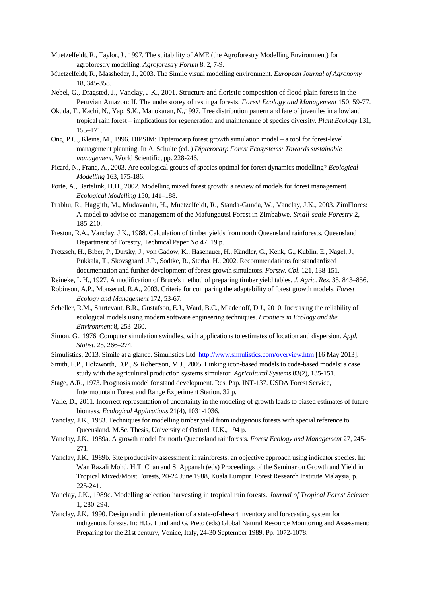- Muetzelfeldt, R., Taylor, J., 1997. The suitability of AME (the Agroforestry Modelling Environment) for agroforestry modelling. *Agroforestry Forum* 8, 2, 7-9.
- Muetzelfeldt, R., Massheder, J., 2003. The Simile visual modelling environment. *European Journal of Agronomy* 18, 345-358.
- Nebel, G., Dragsted, J., Vanclay, J.K., 2001. Structure and floristic composition of flood plain forests in the Peruvian Amazon: II. The understorey of restinga forests. *Forest Ecology and Management* 150, 59-77.
- Okuda, T., Kachi, N., Yap, S.K., Manokaran, N.,1997. Tree distribution pattern and fate of juveniles in a lowland tropical rain forest – implications for regeneration and maintenance of species diversity. *Plant Ecology* 131, 155–171.
- Ong, P.C., Kleine, M., 1996. DIPSIM: Dipterocarp forest growth simulation model a tool for forest-level management planning. In A. Schulte (ed. ) *Dipterocarp Forest Ecosystems: Towards sustainable management*, World Scientific, pp. 228-246.
- Picard, N., Franc, A., 2003. Are ecological groups of species optimal for forest dynamics modelling? *Ecological Modelling* 163, 175-186.
- Porte, A., Bartelink, H.H., 2002. Modelling mixed forest growth: a review of models for forest management. *Ecological Modelling* 150, 141–188.
- Prabhu, R., Haggith, M., Mudavanhu, H., Muetzelfeldt, R., Standa-Gunda, W., Vanclay, J.K., 2003. ZimFlores: A model to advise co-management of the Mafungautsi Forest in Zimbabwe. *Small-scale Forestry* 2, 185-210.
- Preston, R.A., Vanclay, J.K., 1988. Calculation of timber yields from north Queensland rainforests. Queensland Department of Forestry, Technical Paper No 47. 19 p.
- Pretzsch, H., Biber, P., Dursky, J., von Gadow, K., Hasenauer, H., Kändler, G., Kenk, G., Kublin, E., Nagel, J., Pukkala, T., Skovsgaard, J.P., Sodtke, R., Sterba, H., 2002. Recommendations for standardized documentation and further development of forest growth simulators. *Forstw. Cbl*. 121, 138-151.
- Reineke, L.H., 1927. A modification of Bruce's method of preparing timber yield tables. *J. Agric. Res.* 35, 843–856.
- Robinson, A.P., Monserud, R.A., 2003. Criteria for comparing the adaptability of forest growth models. *Forest Ecology and Management* 172, 53-67.
- Scheller, R.M., Sturtevant, B.R., Gustafson, E.J., Ward, B.C., Mladenoff, D.J., 2010. Increasing the reliability of ecological models using modern software engineering techniques. *Frontiers in Ecology and the Environment* 8, 253–260.
- Simon, G., 1976. Computer simulation swindles, with applications to estimates of location and dispersion. *Appl. Statist.* 25, 266–274.
- Simulistics, 2013. Simile at a glance. Simulistics Ltd[. http://www.simulistics.com/overview.htm](http://www.simulistics.com/overview.htm) [16 May 2013].
- Smith, F.P., Holzworth, D.P., & Robertson, M.J., 2005. Linking icon-based models to code-based models: a case study with the agricultural production systems simulator. *Agricultural Systems* 83(2), 135-151.
- Stage, A.R., 1973. Prognosis model for stand development. Res. Pap. INT-137. USDA Forest Service, Intermountain Forest and Range Experiment Station. 32 p.
- Valle, D., 2011. Incorrect representation of uncertainty in the modeling of growth leads to biased estimates of future biomass. *Ecological Applications* 21(4), 1031-1036.
- Vanclay, J.K., 1983. Techniques for modelling timber yield from indigenous forests with special reference to Queensland. M.Sc. Thesis, University of Oxford, U.K., 194 p.
- Vanclay, J.K., 1989a. A growth model for north Queensland rainforests*. Forest Ecology and Management* 27, 245- 271.
- Vanclay, J.K., 1989b. Site productivity assessment in rainforests: an objective approach using indicator species. In: Wan Razali Mohd, H.T. Chan and S. Appanah (eds) Proceedings of the Seminar on Growth and Yield in Tropical Mixed/Moist Forests, 20-24 June 1988, Kuala Lumpur. Forest Research Institute Malaysia, p. 225-241.
- Vanclay, J.K., 1989c. Modelling selection harvesting in tropical rain forests. *Journal of Tropical Forest Science* 1, 280-294.
- Vanclay, J.K., 1990. Design and implementation of a state-of-the-art inventory and forecasting system for indigenous forests. In: H.G. Lund and G. Preto (eds) Global Natural Resource Monitoring and Assessment: Preparing for the 21st century, Venice, Italy, 24-30 September 1989. Pp. 1072-1078.